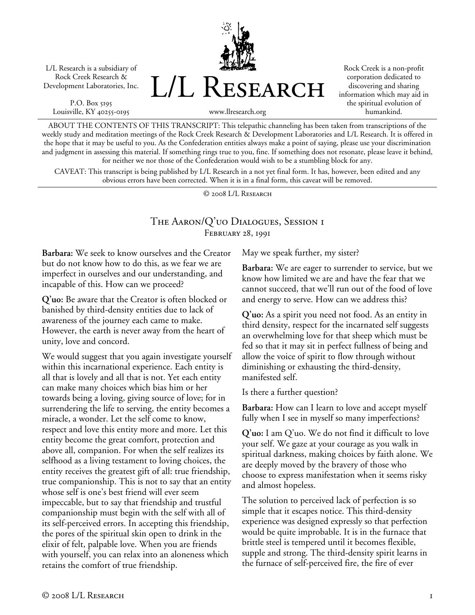L/L Research is a subsidiary of Rock Creek Research & Development Laboratories, Inc.

P.O. Box 5195 Louisville, KY 40255-0195 L/L Research

Rock Creek is a non-profit corporation dedicated to discovering and sharing information which may aid in the spiritual evolution of humankind.

www.llresearch.org

ABOUT THE CONTENTS OF THIS TRANSCRIPT: This telepathic channeling has been taken from transcriptions of the weekly study and meditation meetings of the Rock Creek Research & Development Laboratories and L/L Research. It is offered in the hope that it may be useful to you. As the Confederation entities always make a point of saying, please use your discrimination and judgment in assessing this material. If something rings true to you, fine. If something does not resonate, please leave it behind, for neither we nor those of the Confederation would wish to be a stumbling block for any.

CAVEAT: This transcript is being published by L/L Research in a not yet final form. It has, however, been edited and any obvious errors have been corrected. When it is in a final form, this caveat will be removed.

© 2008 L/L Research

## The Aaron/Q'uo Dialogues, Session 1 FEBRUARY 28, 1991

**Barbara:** We seek to know ourselves and the Creator but do not know how to do this, as we fear we are imperfect in ourselves and our understanding, and incapable of this. How can we proceed?

**Q'uo:** Be aware that the Creator is often blocked or banished by third-density entities due to lack of awareness of the journey each came to make. However, the earth is never away from the heart of unity, love and concord.

We would suggest that you again investigate yourself within this incarnational experience. Each entity is all that is lovely and all that is not. Yet each entity can make many choices which bias him or her towards being a loving, giving source of love; for in surrendering the life to serving, the entity becomes a miracle, a wonder. Let the self come to know, respect and love this entity more and more. Let this entity become the great comfort, protection and above all, companion. For when the self realizes its selfhood as a living testament to loving choices, the entity receives the greatest gift of all: true friendship, true companionship. This is not to say that an entity whose self is one's best friend will ever seem impeccable, but to say that friendship and trustful companionship must begin with the self with all of its self-perceived errors. In accepting this friendship, the pores of the spiritual skin open to drink in the elixir of felt, palpable love. When you are friends with yourself, you can relax into an aloneness which retains the comfort of true friendship.

May we speak further, my sister?

**Barbara:** We are eager to surrender to service, but we know how limited we are and have the fear that we cannot succeed, that we'll run out of the food of love and energy to serve. How can we address this?

**Q'uo:** As a spirit you need not food. As an entity in third density, respect for the incarnated self suggests an overwhelming love for that sheep which must be fed so that it may sit in perfect fullness of being and allow the voice of spirit to flow through without diminishing or exhausting the third-density, manifested self.

Is there a further question?

**Barbara:** How can I learn to love and accept myself fully when I see in myself so many imperfections?

**Q'uo:** I am Q'uo. We do not find it difficult to love your self. We gaze at your courage as you walk in spiritual darkness, making choices by faith alone. We are deeply moved by the bravery of those who choose to express manifestation when it seems risky and almost hopeless.

The solution to perceived lack of perfection is so simple that it escapes notice. This third-density experience was designed expressly so that perfection would be quite improbable. It is in the furnace that brittle steel is tempered until it becomes flexible, supple and strong. The third-density spirit learns in the furnace of self-perceived fire, the fire of ever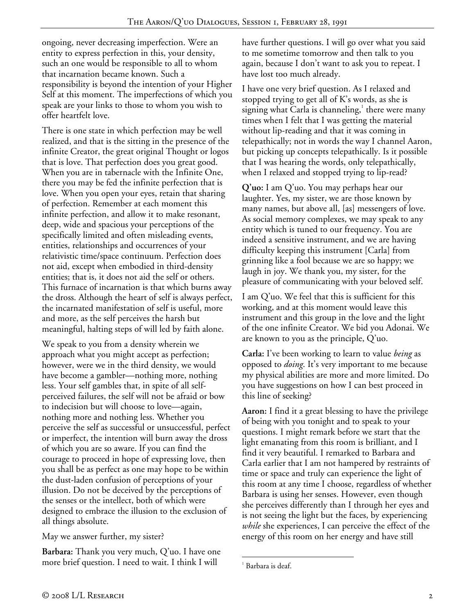ongoing, never decreasing imperfection. Were an entity to express perfection in this, your density, such an one would be responsible to all to whom that incarnation became known. Such a responsibility is beyond the intention of your Higher Self at this moment. The imperfections of which you speak are your links to those to whom you wish to offer heartfelt love.

There is one state in which perfection may be well realized, and that is the sitting in the presence of the infinite Creator, the great original Thought or logos that is love. That perfection does you great good. When you are in tabernacle with the Infinite One, there you may be fed the infinite perfection that is love. When you open your eyes, retain that sharing of perfection. Remember at each moment this infinite perfection, and allow it to make resonant, deep, wide and spacious your perceptions of the specifically limited and often misleading events, entities, relationships and occurrences of your relativistic time/space continuum. Perfection does not aid, except when embodied in third-density entities; that is, it does not aid the self or others. This furnace of incarnation is that which burns away the dross. Although the heart of self is always perfect, the incarnated manifestation of self is useful, more and more, as the self perceives the harsh but meaningful, halting steps of will led by faith alone.

We speak to you from a density wherein we approach what you might accept as perfection; however, were we in the third density, we would have become a gambler—nothing more, nothing less. Your self gambles that, in spite of all selfperceived failures, the self will not be afraid or bow to indecision but will choose to love—again, nothing more and nothing less. Whether you perceive the self as successful or unsuccessful, perfect or imperfect, the intention will burn away the dross of which you are so aware. If you can find the courage to proceed in hope of expressing love, then you shall be as perfect as one may hope to be within the dust-laden confusion of perceptions of your illusion. Do not be deceived by the perceptions of the senses or the intellect, both of which were designed to embrace the illusion to the exclusion of all things absolute.

May we answer further, my sister?

**Barbara:** Thank you very much, Q'uo. I have one more brief question. I need to wait. I think I will

have further questions. I will go over what you said to me sometime tomorrow and then talk to you again, because I don't want to ask you to repeat. I have lost too much already.

I have one very brief question. As I relaxed and stopped trying to get all of K's words, as she is signing what Carla is channeling, $^1$  there were many times when I felt that I was getting the material without lip-reading and that it was coming in telepathically; not in words the way I channel Aaron, but picking up concepts telepathically. Is it possible that I was hearing the words, only telepathically, when I relaxed and stopped trying to lip-read?

**Q'uo:** I am Q'uo. You may perhaps hear our laughter. Yes, my sister, we are those known by many names, but above all, [as] messengers of love. As social memory complexes, we may speak to any entity which is tuned to our frequency. You are indeed a sensitive instrument, and we are having difficulty keeping this instrument [Carla] from grinning like a fool because we are so happy; we laugh in joy. We thank you, my sister, for the pleasure of communicating with your beloved self.

I am Q'uo. We feel that this is sufficient for this working, and at this moment would leave this instrument and this group in the love and the light of the one infinite Creator. We bid you Adonai. We are known to you as the principle, Q'uo.

**Carla:** I've been working to learn to value *being* as opposed to *doing*. It's very important to me because my physical abilities are more and more limited. Do you have suggestions on how I can best proceed in this line of seeking?

**Aaron:** I find it a great blessing to have the privilege of being with you tonight and to speak to your questions. I might remark before we start that the light emanating from this room is brilliant, and I find it very beautiful. I remarked to Barbara and Carla earlier that I am not hampered by restraints of time or space and truly can experience the light of this room at any time I choose, regardless of whether Barbara is using her senses. However, even though she perceives differently than I through her eyes and is not seeing the light but the faces, by experiencing *while* she experiences, I can perceive the effect of the energy of this room on her energy and have still

 $\overline{a}$ <sup>1</sup> Barbara is deaf.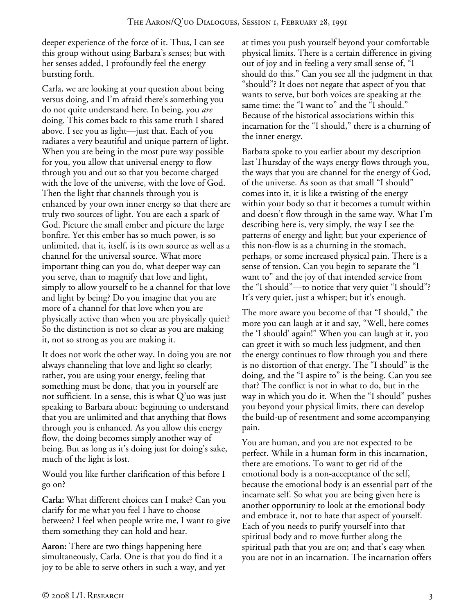deeper experience of the force of it. Thus, I can see this group without using Barbara's senses; but with her senses added, I profoundly feel the energy bursting forth.

Carla, we are looking at your question about being versus doing, and I'm afraid there's something you do not quite understand here. In being, you *are* doing. This comes back to this same truth I shared above. I see you as light—just that. Each of you radiates a very beautiful and unique pattern of light. When you are being in the most pure way possible for you, you allow that universal energy to flow through you and out so that you become charged with the love of the universe, with the love of God. Then the light that channels through you is enhanced by your own inner energy so that there are truly two sources of light. You are each a spark of God. Picture the small ember and picture the large bonfire. Yet this ember has so much power, is so unlimited, that it, itself, is its own source as well as a channel for the universal source. What more important thing can you do, what deeper way can you serve, than to magnify that love and light, simply to allow yourself to be a channel for that love and light by being? Do you imagine that you are more of a channel for that love when you are physically active than when you are physically quiet? So the distinction is not so clear as you are making it, not so strong as you are making it.

It does not work the other way. In doing you are not always channeling that love and light so clearly; rather, you are using your energy, feeling that something must be done, that you in yourself are not sufficient. In a sense, this is what Q'uo was just speaking to Barbara about: beginning to understand that you are unlimited and that anything that flows through you is enhanced. As you allow this energy flow, the doing becomes simply another way of being. But as long as it's doing just for doing's sake, much of the light is lost.

Would you like further clarification of this before I go on?

**Carla:** What different choices can I make? Can you clarify for me what you feel I have to choose between? I feel when people write me, I want to give them something they can hold and hear.

**Aaron:** There are two things happening here simultaneously, Carla. One is that you do find it a joy to be able to serve others in such a way, and yet at times you push yourself beyond your comfortable physical limits. There is a certain difference in giving out of joy and in feeling a very small sense of, "I should do this." Can you see all the judgment in that "should"? It does not negate that aspect of you that wants to serve, but both voices are speaking at the same time: the "I want to" and the "I should." Because of the historical associations within this incarnation for the "I should," there is a churning of the inner energy.

Barbara spoke to you earlier about my description last Thursday of the ways energy flows through you, the ways that you are channel for the energy of God, of the universe. As soon as that small "I should" comes into it, it is like a twisting of the energy within your body so that it becomes a tumult within and doesn't flow through in the same way. What I'm describing here is, very simply, the way I see the patterns of energy and light; but your experience of this non-flow is as a churning in the stomach, perhaps, or some increased physical pain. There is a sense of tension. Can you begin to separate the "I want to" and the joy of that intended service from the "I should"—to notice that very quiet "I should"? It's very quiet, just a whisper; but it's enough.

The more aware you become of that "I should," the more you can laugh at it and say, "Well, here comes the 'I should' again!" When you can laugh at it, you can greet it with so much less judgment, and then the energy continues to flow through you and there is no distortion of that energy. The "I should" is the doing, and the "I aspire to" is the being. Can you see that? The conflict is not in what to do, but in the way in which you do it. When the "I should" pushes you beyond your physical limits, there can develop the build-up of resentment and some accompanying pain.

You are human, and you are not expected to be perfect. While in a human form in this incarnation, there are emotions. To want to get rid of the emotional body is a non-acceptance of the self, because the emotional body is an essential part of the incarnate self. So what you are being given here is another opportunity to look at the emotional body and embrace it, not to hate that aspect of yourself. Each of you needs to purify yourself into that spiritual body and to move further along the spiritual path that you are on; and that's easy when you are not in an incarnation. The incarnation offers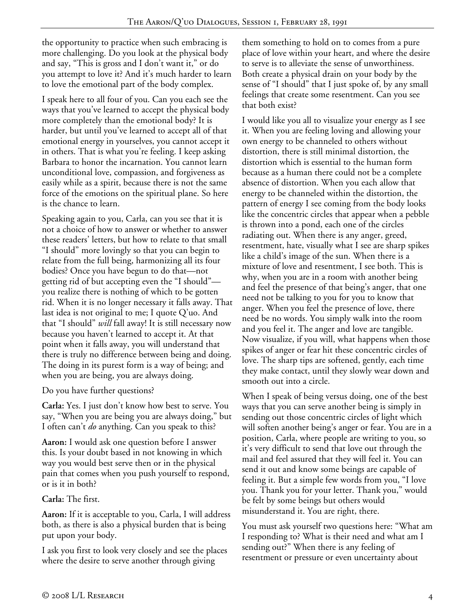the opportunity to practice when such embracing is more challenging. Do you look at the physical body and say, "This is gross and I don't want it," or do you attempt to love it? And it's much harder to learn to love the emotional part of the body complex.

I speak here to all four of you. Can you each see the ways that you've learned to accept the physical body more completely than the emotional body? It is harder, but until you've learned to accept all of that emotional energy in yourselves, you cannot accept it in others. That is what you're feeling. I keep asking Barbara to honor the incarnation. You cannot learn unconditional love, compassion, and forgiveness as easily while as a spirit, because there is not the same force of the emotions on the spiritual plane. So here is the chance to learn.

Speaking again to you, Carla, can you see that it is not a choice of how to answer or whether to answer these readers' letters, but how to relate to that small "I should" more lovingly so that you can begin to relate from the full being, harmonizing all its four bodies? Once you have begun to do that—not getting rid of but accepting even the "I should" you realize there is nothing of which to be gotten rid. When it is no longer necessary it falls away. That last idea is not original to me; I quote Q'uo. And that "I should" *will* fall away! It is still necessary now because you haven't learned to accept it. At that point when it falls away, you will understand that there is truly no difference between being and doing. The doing in its purest form is a way of being; and when you are being, you are always doing.

Do you have further questions?

**Carla:** Yes. I just don't know how best to serve. You say, "When you are being you are always doing," but I often can't *do* anything. Can you speak to this?

**Aaron:** I would ask one question before I answer this. Is your doubt based in not knowing in which way you would best serve then or in the physical pain that comes when you push yourself to respond, or is it in both?

**Carla:** The first.

**Aaron:** If it is acceptable to you, Carla, I will address both, as there is also a physical burden that is being put upon your body.

I ask you first to look very closely and see the places where the desire to serve another through giving

them something to hold on to comes from a pure place of love within your heart, and where the desire to serve is to alleviate the sense of unworthiness. Both create a physical drain on your body by the sense of "I should" that I just spoke of, by any small feelings that create some resentment. Can you see that both exist?

I would like you all to visualize your energy as I see it. When you are feeling loving and allowing your own energy to be channeled to others without distortion, there is still minimal distortion, the distortion which is essential to the human form because as a human there could not be a complete absence of distortion. When you each allow that energy to be channeled within the distortion, the pattern of energy I see coming from the body looks like the concentric circles that appear when a pebble is thrown into a pond, each one of the circles radiating out. When there is any anger, greed, resentment, hate, visually what I see are sharp spikes like a child's image of the sun. When there is a mixture of love and resentment, I see both. This is why, when you are in a room with another being and feel the presence of that being's anger, that one need not be talking to you for you to know that anger. When you feel the presence of love, there need be no words. You simply walk into the room and you feel it. The anger and love are tangible. Now visualize, if you will, what happens when those spikes of anger or fear hit these concentric circles of love. The sharp tips are softened, gently, each time they make contact, until they slowly wear down and smooth out into a circle.

When I speak of being versus doing, one of the best ways that you can serve another being is simply in sending out those concentric circles of light which will soften another being's anger or fear. You are in a position, Carla, where people are writing to you, so it's very difficult to send that love out through the mail and feel assured that they will feel it. You can send it out and know some beings are capable of feeling it. But a simple few words from you, "I love you. Thank you for your letter. Thank you," would be felt by some beings but others would misunderstand it. You are right, there.

You must ask yourself two questions here: "What am I responding to? What is their need and what am I sending out?" When there is any feeling of resentment or pressure or even uncertainty about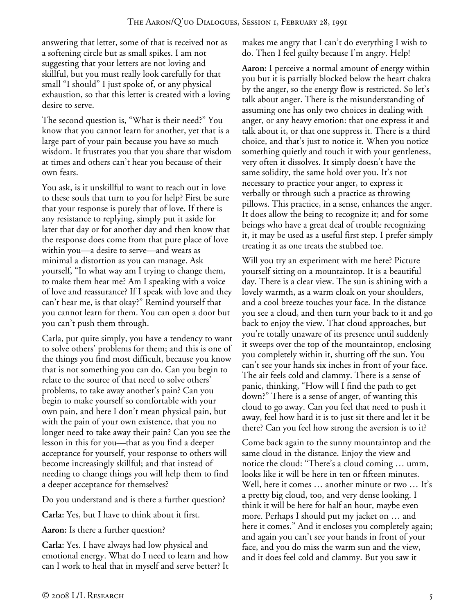answering that letter, some of that is received not as a softening circle but as small spikes. I am not suggesting that your letters are not loving and skillful, but you must really look carefully for that small "I should" I just spoke of, or any physical exhaustion, so that this letter is created with a loving desire to serve.

The second question is, "What is their need?" You know that you cannot learn for another, yet that is a large part of your pain because you have so much wisdom. It frustrates you that you share that wisdom at times and others can't hear you because of their own fears.

You ask, is it unskillful to want to reach out in love to these souls that turn to you for help? First be sure that your response is purely that of love. If there is any resistance to replying, simply put it aside for later that day or for another day and then know that the response does come from that pure place of love within you—a desire to serve—and wears as minimal a distortion as you can manage. Ask yourself, "In what way am I trying to change them, to make them hear me? Am I speaking with a voice of love and reassurance? If I speak with love and they can't hear me, is that okay?" Remind yourself that you cannot learn for them. You can open a door but you can't push them through.

Carla, put quite simply, you have a tendency to want to solve others' problems for them; and this is one of the things you find most difficult, because you know that is not something you can do. Can you begin to relate to the source of that need to solve others' problems, to take away another's pain? Can you begin to make yourself so comfortable with your own pain, and here I don't mean physical pain, but with the pain of your own existence, that you no longer need to take away their pain? Can you see the lesson in this for you—that as you find a deeper acceptance for yourself, your response to others will become increasingly skillful; and that instead of needing to change things you will help them to find a deeper acceptance for themselves?

Do you understand and is there a further question?

**Carla:** Yes, but I have to think about it first.

**Aaron:** Is there a further question?

**Carla:** Yes. I have always had low physical and emotional energy. What do I need to learn and how can I work to heal that in myself and serve better? It makes me angry that I can't do everything I wish to do. Then I feel guilty because I'm angry. Help!

**Aaron:** I perceive a normal amount of energy within you but it is partially blocked below the heart chakra by the anger, so the energy flow is restricted. So let's talk about anger. There is the misunderstanding of assuming one has only two choices in dealing with anger, or any heavy emotion: that one express it and talk about it, or that one suppress it. There is a third choice, and that's just to notice it. When you notice something quietly and touch it with your gentleness, very often it dissolves. It simply doesn't have the same solidity, the same hold over you. It's not necessary to practice your anger, to express it verbally or through such a practice as throwing pillows. This practice, in a sense, enhances the anger. It does allow the being to recognize it; and for some beings who have a great deal of trouble recognizing it, it may be used as a useful first step. I prefer simply treating it as one treats the stubbed toe.

Will you try an experiment with me here? Picture yourself sitting on a mountaintop. It is a beautiful day. There is a clear view. The sun is shining with a lovely warmth, as a warm cloak on your shoulders, and a cool breeze touches your face. In the distance you see a cloud, and then turn your back to it and go back to enjoy the view. That cloud approaches, but you're totally unaware of its presence until suddenly it sweeps over the top of the mountaintop, enclosing you completely within it, shutting off the sun. You can't see your hands six inches in front of your face. The air feels cold and clammy. There is a sense of panic, thinking, "How will I find the path to get down?" There is a sense of anger, of wanting this cloud to go away. Can you feel that need to push it away, feel how hard it is to just sit there and let it be there? Can you feel how strong the aversion is to it?

Come back again to the sunny mountaintop and the same cloud in the distance. Enjoy the view and notice the cloud: "There's a cloud coming … umm, looks like it will be here in ten or fifteen minutes. Well, here it comes … another minute or two … It's a pretty big cloud, too, and very dense looking. I think it will be here for half an hour, maybe even more. Perhaps I should put my jacket on … and here it comes." And it encloses you completely again; and again you can't see your hands in front of your face, and you do miss the warm sun and the view, and it does feel cold and clammy. But you saw it